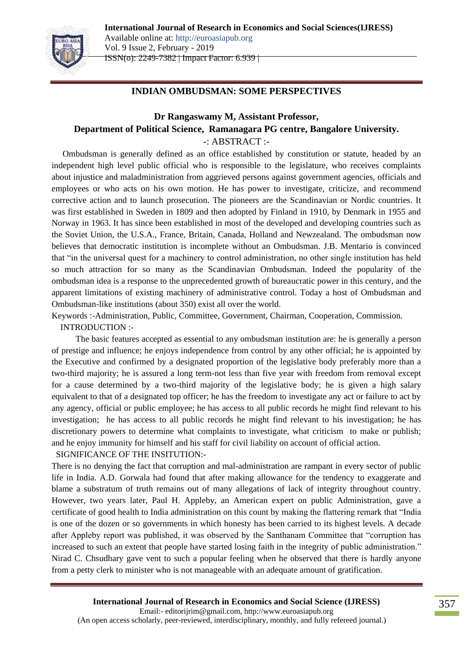**International Journal of Research in Economics and Social Sciences(IJRESS)**



Vol. 9 Issue 2, February - 2019 ISSN(o): 2249-7382 | Impact Factor: 6.939 |

Available online at: http://euroasiapub.org

## **INDIAN OMBUDSMAN: SOME PERSPECTIVES**

# **Dr Rangaswamy M, Assistant Professor, Department of Political Science, Ramanagara PG centre, Bangalore University.** -: ABSTRACT :-

 Ombudsman is generally defined as an office established by constitution or statute, headed by an independent high level public official who is responsible to the legislature, who receives complaints about injustice and maladministration from aggrieved persons against government agencies, officials and employees or who acts on his own motion. He has power to investigate, criticize, and recommend corrective action and to launch prosecution. The pioneers are the Scandinavian or Nordic countries. It was first established in Sweden in 1809 and then adopted by Finland in 1910, by Denmark in 1955 and Norway in 1963. It has since been established in most of the developed and developing countries such as the Soviet Union, the U.S.A., France, Britain, Canada, Holland and Newzealand. The ombudsman now believes that democratic institution is incomplete without an Ombudsman. J.B. Mentario is convinced that "in the universal quest for a machinery to control administration, no other single institution has held so much attraction for so many as the Scandinavian Ombudsman. Indeed the popularity of the ombudsman idea is a response to the unprecedented growth of bureaucratic power in this century, and the apparent limitations of existing machinery of administrative control. Today a host of Ombudsman and Ombudsman-like institutions (about 350) exist all over the world.

Keywords :-Administration, Public, Committee, Government, Chairman, Cooperation, Commission. INTRODUCTION :-

 The basic features accepted as essential to any ombudsman institution are: he is generally a person of prestige and influence; he enjoys independence from control by any other official; he is appointed by the Executive and confirmed by a designated proportion of the legislative body preferably more than a two-third majority; he is assured a long term-not less than five year with freedom from removal except for a cause determined by a two-third majority of the legislative body; he is given a high salary equivalent to that of a designated top officer; he has the freedom to investigate any act or failure to act by any agency, official or public employee; he has access to all public records he might find relevant to his investigation; he has access to all public records he might find relevant to his investigation; he has discretionary powers to determine what complaints to investigate, what criticism to make or publish; and he enjoy immunity for himself and his staff for civil liability on account of official action.

SIGNIFICANCE OF THE INSITUTION:-

There is no denying the fact that corruption and mal-administration are rampant in every sector of public life in India. A.D. Gorwala had found that after making allowance for the tendency to exaggerate and blame a substratum of truth remains out of many allegations of lack of integrity throughout country. However, two years later, Paul H. Appleby, an American expert on public Administration, gave a certificate of good health to India administration on this count by making the flattering remark that "India is one of the dozen or so governments in which honesty has been carried to its highest levels. A decade after Appleby report was published, it was observed by the Santhanam Committee that "corruption has increased to such an extent that people have started losing faith in the integrity of public administration." Nirad C. Chsudhary gave vent to such a popular feeling when he observed that there is hardly anyone from a petty clerk to minister who is not manageable with an adequate amount of gratification.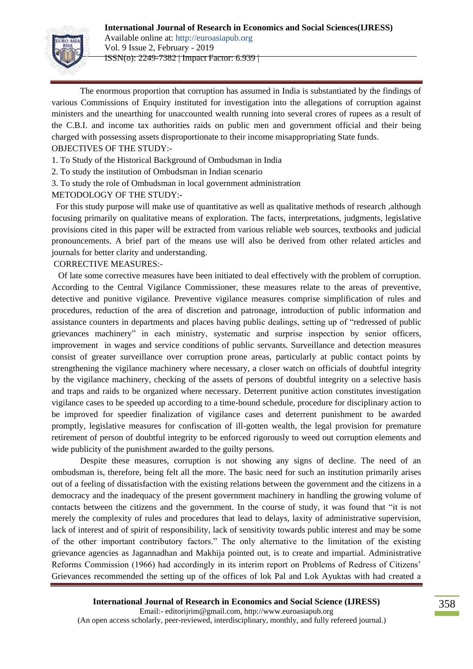

The enormous proportion that corruption has assumed in India is substantiated by the findings of various Commissions of Enquiry instituted for investigation into the allegations of corruption against ministers and the unearthing for unaccounted wealth running into several crores of rupees as a result of the C.B.I. and income tax authorities raids on public men and government official and their being charged with possessing assets disproportionate to their income misappropriating State funds. OBJECTIVES OF THE STUDY:-

1. To Study of the Historical Background of Ombudsman in India

- 2. To study the institution of Ombudsman in Indian scenario
- 3. To study the role of Ombudsman in local government administration

METODOLOGY OF THE STUDY:-

For this study purpose will make use of quantitative as well as qualitative methods of research ,although focusing primarily on qualitative means of exploration. The facts, interpretations, judgments, legislative provisions cited in this paper will be extracted from various reliable web sources, textbooks and judicial pronouncements. A brief part of the means use will also be derived from other related articles and journals for better clarity and understanding.

CORRECTIVE MEASURES:-

Of late some corrective measures have been initiated to deal effectively with the problem of corruption. According to the Central Vigilance Commissioner, these measures relate to the areas of preventive, detective and punitive vigilance. Preventive vigilance measures comprise simplification of rules and procedures, reduction of the area of discretion and patronage, introduction of public information and assistance counters in departments and places having public dealings, setting up of "redressed of public grievances machinery" in each ministry, systematic and surprise inspection by senior officers, improvement in wages and service conditions of public servants. Surveillance and detection measures consist of greater surveillance over corruption prone areas, particularly at public contact points by strengthening the vigilance machinery where necessary, a closer watch on officials of doubtful integrity by the vigilance machinery, checking of the assets of persons of doubtful integrity on a selective basis and traps and raids to be organized where necessary. Deterrent punitive action constitutes investigation vigilance cases to be speeded up according to a time-bound schedule, procedure for disciplinary action to be improved for speedier finalization of vigilance cases and deterrent punishment to be awarded promptly, legislative measures for confiscation of ill-gotten wealth, the legal provision for premature retirement of person of doubtful integrity to be enforced rigorously to weed out corruption elements and wide publicity of the punishment awarded to the guilty persons.

Despite these measures, corruption is not showing any signs of decline. The need of an ombudsman is, therefore, being felt all the more. The basic need for such an institution primarily arises out of a feeling of dissatisfaction with the existing relations between the government and the citizens in a democracy and the inadequacy of the present government machinery in handling the growing volume of contacts between the citizens and the government. In the course of study, it was found that "it is not merely the complexity of rules and procedures that lead to delays, laxity of administrative supervision, lack of interest and of spirit of responsibility, lack of sensitivity towards public interest and may be some of the other important contributory factors." The only alternative to the limitation of the existing grievance agencies as Jagannadhan and Makhija pointed out, is to create and impartial. Administrative Reforms Commission (1966) had accordingly in its interim report on Problems of Redress of Citizens" Grievances recommended the setting up of the offices of lok Pal and Lok Ayuktas with had created a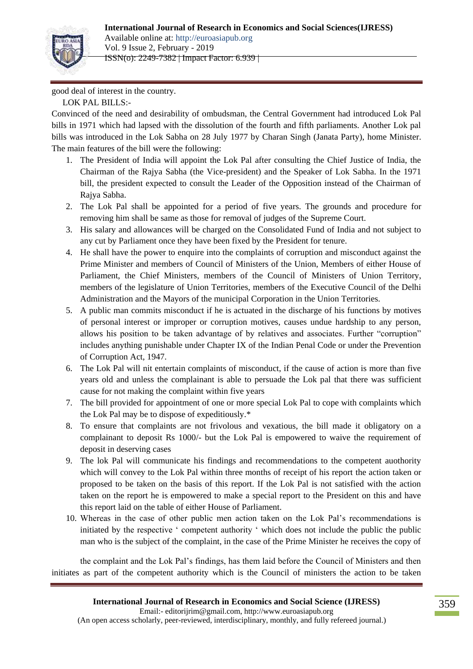### **International Journal of Research in Economics and Social Sciences(IJRESS)**



Vol. 9 Issue 2, February - 2019 ISSN(o): 2249-7382 | Impact Factor: 6.939 |

Available online at: http://euroasiapub.org

good deal of interest in the country.

LOK PAL BILLS:-

Convinced of the need and desirability of ombudsman, the Central Government had introduced Lok Pal bills in 1971 which had lapsed with the dissolution of the fourth and fifth parliaments. Another Lok pal bills was introduced in the Lok Sabha on 28 July 1977 by Charan Singh (Janata Party), home Minister. The main features of the bill were the following:

- 1. The President of India will appoint the Lok Pal after consulting the Chief Justice of India, the Chairman of the Rajya Sabha (the Vice-president) and the Speaker of Lok Sabha. In the 1971 bill, the president expected to consult the Leader of the Opposition instead of the Chairman of Rajya Sabha.
- 2. The Lok Pal shall be appointed for a period of five years. The grounds and procedure for removing him shall be same as those for removal of judges of the Supreme Court.
- 3. His salary and allowances will be charged on the Consolidated Fund of India and not subject to any cut by Parliament once they have been fixed by the President for tenure.
- 4. He shall have the power to enquire into the complaints of corruption and misconduct against the Prime Minister and members of Council of Ministers of the Union, Members of either House of Parliament, the Chief Ministers, members of the Council of Ministers of Union Territory, members of the legislature of Union Territories, members of the Executive Council of the Delhi Administration and the Mayors of the municipal Corporation in the Union Territories.
- 5. A public man commits misconduct if he is actuated in the discharge of his functions by motives of personal interest or improper or corruption motives, causes undue hardship to any person, allows his position to be taken advantage of by relatives and associates. Further "corruption" includes anything punishable under Chapter IX of the Indian Penal Code or under the Prevention of Corruption Act, 1947.
- 6. The Lok Pal will nit entertain complaints of misconduct, if the cause of action is more than five years old and unless the complainant is able to persuade the Lok pal that there was sufficient cause for not making the complaint within five years
- 7. The bill provided for appointment of one or more special Lok Pal to cope with complaints which the Lok Pal may be to dispose of expeditiously.\*
- 8. To ensure that complaints are not frivolous and vexatious, the bill made it obligatory on a complainant to deposit Rs 1000/- but the Lok Pal is empowered to waive the requirement of deposit in deserving cases
- 9. The lok Pal will communicate his findings and recommendations to the competent auothority which will convey to the Lok Pal within three months of receipt of his report the action taken or proposed to be taken on the basis of this report. If the Lok Pal is not satisfied with the action taken on the report he is empowered to make a special report to the President on this and have this report laid on the table of either House of Parliament.
- 10. Whereas in the case of other public men action taken on the Lok Pal"s recommendations is initiated by the respective ' competent authority ' which does not include the public the public man who is the subject of the complaint, in the case of the Prime Minister he receives the copy of

the complaint and the Lok Pal"s findings, has them laid before the Council of Ministers and then initiates as part of the competent authority which is the Council of ministers the action to be taken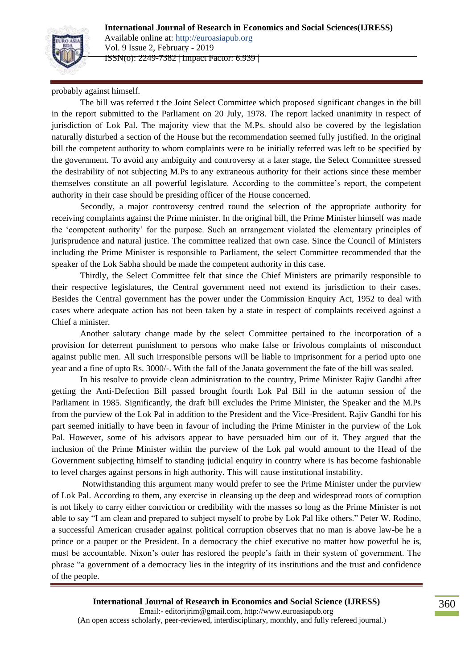



Vol. 9 Issue 2, February - 2019 ISSN(o): 2249-7382 | Impact Factor: 6.939 |

probably against himself.

The bill was referred t the Joint Select Committee which proposed significant changes in the bill in the report submitted to the Parliament on 20 July, 1978. The report lacked unanimity in respect of jurisdiction of Lok Pal. The majority view that the M.Ps. should also be covered by the legislation naturally disturbed a section of the House but the recommendation seemed fully justified. In the original bill the competent authority to whom complaints were to be initially referred was left to be specified by the government. To avoid any ambiguity and controversy at a later stage, the Select Committee stressed the desirability of not subjecting M.Ps to any extraneous authority for their actions since these member themselves constitute an all powerful legislature. According to the committee"s report, the competent authority in their case should be presiding officer of the House concerned.

Secondly, a major controversy centred round the selection of the appropriate authority for receiving complaints against the Prime minister. In the original bill, the Prime Minister himself was made the "competent authority" for the purpose. Such an arrangement violated the elementary principles of jurisprudence and natural justice. The committee realized that own case. Since the Council of Ministers including the Prime Minister is responsible to Parliament, the select Committee recommended that the speaker of the Lok Sabha should be made the competent authority in this case.

Thirdly, the Select Committee felt that since the Chief Ministers are primarily responsible to their respective legislatures, the Central government need not extend its jurisdiction to their cases. Besides the Central government has the power under the Commission Enquiry Act, 1952 to deal with cases where adequate action has not been taken by a state in respect of complaints received against a Chief a minister.

Another salutary change made by the select Committee pertained to the incorporation of a provision for deterrent punishment to persons who make false or frivolous complaints of misconduct against public men. All such irresponsible persons will be liable to imprisonment for a period upto one year and a fine of upto Rs. 3000/-. With the fall of the Janata government the fate of the bill was sealed.

In his resolve to provide clean administration to the country, Prime Minister Rajiv Gandhi after getting the Anti-Defection Bill passed brought fourth Lok Pal Bill in the autumn session of the Parliament in 1985. Significantly, the draft bill excludes the Prime Minister, the Speaker and the M.Ps from the purview of the Lok Pal in addition to the President and the Vice-President. Rajiv Gandhi for his part seemed initially to have been in favour of including the Prime Minister in the purview of the Lok Pal. However, some of his advisors appear to have persuaded him out of it. They argued that the inclusion of the Prime Minister within the purview of the Lok pal would amount to the Head of the Government subjecting himself to standing judicial enquiry in country where is has become fashionable to level charges against persons in high authority. This will cause institutional instability.

Notwithstanding this argument many would prefer to see the Prime Minister under the purview of Lok Pal. According to them, any exercise in cleansing up the deep and widespread roots of corruption is not likely to carry either conviction or credibility with the masses so long as the Prime Minister is not able to say "I am clean and prepared to subject myself to probe by Lok Pal like others." Peter W. Rodino, a successful American crusader against political corruption observes that no man is above law-be he a prince or a pauper or the President. In a democracy the chief executive no matter how powerful he is, must be accountable. Nixon"s outer has restored the people"s faith in their system of government. The phrase "a government of a democracy lies in the integrity of its institutions and the trust and confidence of the people.

**International Journal of Research in Economics and Social Science (IJRESS)** Email:- editorijrim@gmail.com, http://www.euroasiapub.org (An open access scholarly, peer-reviewed, interdisciplinary, monthly, and fully refereed journal.)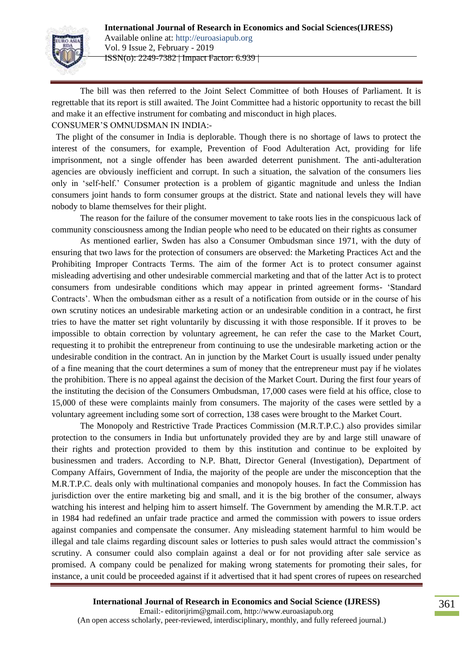

The bill was then referred to the Joint Select Committee of both Houses of Parliament. It is regrettable that its report is still awaited. The Joint Committee had a historic opportunity to recast the bill and make it an effective instrument for combating and misconduct in high places. CONSUMER"S OMNUDSMAN IN INDIA:-

 The plight of the consumer in India is deplorable. Though there is no shortage of laws to protect the interest of the consumers, for example, Prevention of Food Adulteration Act, providing for life imprisonment, not a single offender has been awarded deterrent punishment. The anti-adulteration agencies are obviously inefficient and corrupt. In such a situation, the salvation of the consumers lies only in "self-helf." Consumer protection is a problem of gigantic magnitude and unless the Indian consumers joint hands to form consumer groups at the district. State and national levels they will have nobody to blame themselves for their plight.

The reason for the failure of the consumer movement to take roots lies in the conspicuous lack of community consciousness among the Indian people who need to be educated on their rights as consumer

As mentioned earlier, Swden has also a Consumer Ombudsman since 1971, with the duty of ensuring that two laws for the protection of consumers are observed: the Marketing Practices Act and the Prohibiting Improper Contracts Terms. The aim of the former Act is to protect consumer against misleading advertising and other undesirable commercial marketing and that of the latter Act is to protect consumers from undesirable conditions which may appear in printed agreement forms- "Standard Contracts'. When the ombudsman either as a result of a notification from outside or in the course of his own scrutiny notices an undesirable marketing action or an undesirable condition in a contract, he first tries to have the matter set right voluntarily by discussing it with those responsible. If it proves to be impossible to obtain correction by voluntary agreement, he can refer the case to the Market Court, requesting it to prohibit the entrepreneur from continuing to use the undesirable marketing action or the undesirable condition in the contract. An in junction by the Market Court is usually issued under penalty of a fine meaning that the court determines a sum of money that the entrepreneur must pay if he violates the prohibition. There is no appeal against the decision of the Market Court. During the first four years of the instituting the decision of the Consumers Ombudsman, 17,000 cases were field at his office, close to 15,000 of these were complaints mainly from consumers. The majority of the cases were settled by a voluntary agreement including some sort of correction, 138 cases were brought to the Market Court.

The Monopoly and Restrictive Trade Practices Commission (M.R.T.P.C.) also provides similar protection to the consumers in India but unfortunately provided they are by and large still unaware of their rights and protection provided to them by this institution and continue to be exploited by businessmen and traders. According to N.P. Bhatt, Director General (Investigation), Department of Company Affairs, Government of India, the majority of the people are under the misconception that the M.R.T.P.C. deals only with multinational companies and monopoly houses. In fact the Commission has jurisdiction over the entire marketing big and small, and it is the big brother of the consumer, always watching his interest and helping him to assert himself. The Government by amending the M.R.T.P. act in 1984 had redefined an unfair trade practice and armed the commission with powers to issue orders against companies and compensate the consumer. Any misleading statement harmful to him would be illegal and tale claims regarding discount sales or lotteries to push sales would attract the commission"s scrutiny. A consumer could also complain against a deal or for not providing after sale service as promised. A company could be penalized for making wrong statements for promoting their sales, for instance, a unit could be proceeded against if it advertised that it had spent crores of rupees on researched

#### **International Journal of Research in Economics and Social Science (IJRESS)**

Email:- editorijrim@gmail.com, http://www.euroasiapub.org (An open access scholarly, peer-reviewed, interdisciplinary, monthly, and fully refereed journal.)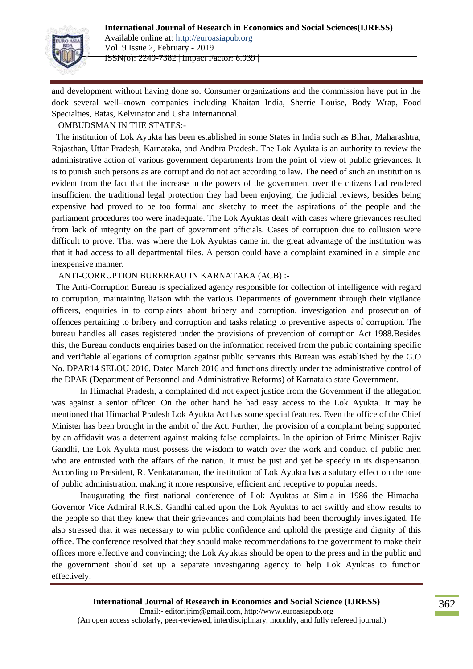

and development without having done so. Consumer organizations and the commission have put in the dock several well-known companies including Khaitan India, Sherrie Louise, Body Wrap, Food Specialties, Batas, Kelvinator and Usha International.

### OMBUDSMAN IN THE STATES:-

 The institution of Lok Ayukta has been established in some States in India such as Bihar, Maharashtra, Rajasthan, Uttar Pradesh, Karnataka, and Andhra Pradesh. The Lok Ayukta is an authority to review the administrative action of various government departments from the point of view of public grievances. It is to punish such persons as are corrupt and do not act according to law. The need of such an institution is evident from the fact that the increase in the powers of the government over the citizens had rendered insufficient the traditional legal protection they had been enjoying; the judicial reviews, besides being expensive had proved to be too formal and sketchy to meet the aspirations of the people and the parliament procedures too were inadequate. The Lok Ayuktas dealt with cases where grievances resulted from lack of integrity on the part of government officials. Cases of corruption due to collusion were difficult to prove. That was where the Lok Ayuktas came in. the great advantage of the institution was that it had access to all departmental files. A person could have a complaint examined in a simple and inexpensive manner.

### ANTI-CORRUPTION BUREREAU IN KARNATAKA (ACB) :-

 The Anti-Corruption Bureau is specialized agency responsible for collection of intelligence with regard to corruption, maintaining liaison with the various Departments of government through their vigilance officers, enquiries in to complaints about bribery and corruption, investigation and prosecution of offences pertaining to bribery and corruption and tasks relating to preventive aspects of corruption. The bureau handles all cases registered under the provisions of prevention of corruption Act 1988.Besides this, the Bureau conducts enquiries based on the information received from the public containing specific and verifiable allegations of corruption against public servants this Bureau was established by the G.O No. DPAR14 SELOU 2016, Dated March 2016 and functions directly under the administrative control of the DPAR (Department of Personnel and Administrative Reforms) of Karnataka state Government.

In Himachal Pradesh, a complained did not expect justice from the Government if the allegation was against a senior officer. On the other hand he had easy access to the Lok Ayukta. It may be mentioned that Himachal Pradesh Lok Ayukta Act has some special features. Even the office of the Chief Minister has been brought in the ambit of the Act. Further, the provision of a complaint being supported by an affidavit was a deterrent against making false complaints. In the opinion of Prime Minister Rajiv Gandhi, the Lok Ayukta must possess the wisdom to watch over the work and conduct of public men who are entrusted with the affairs of the nation. It must be just and yet be speedy in its dispensation. According to President, R. Venkataraman, the institution of Lok Ayukta has a salutary effect on the tone of public administration, making it more responsive, efficient and receptive to popular needs.

Inaugurating the first national conference of Lok Ayuktas at Simla in 1986 the Himachal Governor Vice Admiral R.K.S. Gandhi called upon the Lok Ayuktas to act swiftly and show results to the people so that they knew that their grievances and complaints had been thoroughly investigated. He also stressed that it was necessary to win public confidence and uphold the prestige and dignity of this office. The conference resolved that they should make recommendations to the government to make their offices more effective and convincing; the Lok Ayuktas should be open to the press and in the public and the government should set up a separate investigating agency to help Lok Ayuktas to function effectively.